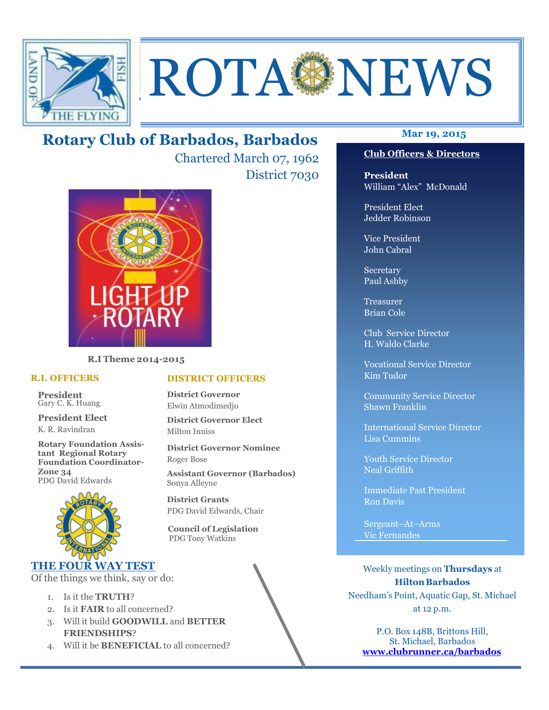

# ROTA NEWS

# **Mar 19, 2015 Rotary Club of Barbados, Barbados**

Chartered March 07, 1962 District 7030



**R.I Theme 2014-2015** 

### **R.I. OFFICERS**

**President** Gary C. K. Huang

**President Elect** K. R. Ravindran

**Rotary Foundation Assistant Regional Rotary Foundation Coordinator-Zone 34**  PDG David Edwards



# **THE FOUR WAY TEST**

Of the things we think, say or do:

- 1. Is it the **TRUTH**?
- 2. Is it **FAIR** to all concerned?
- 3. Will it build **GOODWILL** and **BETTER FRIENDSHIPS**?
- 4. Will it be **BENEFICIAL** to all concerned?

### **Club Officers & Directors**

**President** William "Alex" McDonald

President Elect Jedder Robinson

Vice President John Cabral

Secretary Paul Ashby

Treasurer Brian Cole

Club Service Director H. Waldo Clarke

Vocational Service Director Kim Tudor

Community Service Director Shawn Franklin

International Service Director Lisa Cummins

Youth Service Director Neal Griffith

Immediate Past President Ron Davis

Sergeant–At–Arms Vic Fernandes

Weekly meetings on **Thursdays** at **Hilton Barbados** Needham's Point, Aquatic Gap, St. Michael at 12 p.m.

P.O. Box 148B, Brittons Hill, St. Michael, Barbados **www.clubrunner.ca/barbados**

# **DISTRICT OFFICERS**

**District Governor** Elwin Atmodimedjo

**District Governor Elect** Milton Inniss

**District Governor Nominee**  Roger Bose

**Assistant Governor (Barbados)** Sonya Alleyne

**District Grants**  PDG David Edwards, Chair

 **Council of Legislation**  PDG Tony Watkins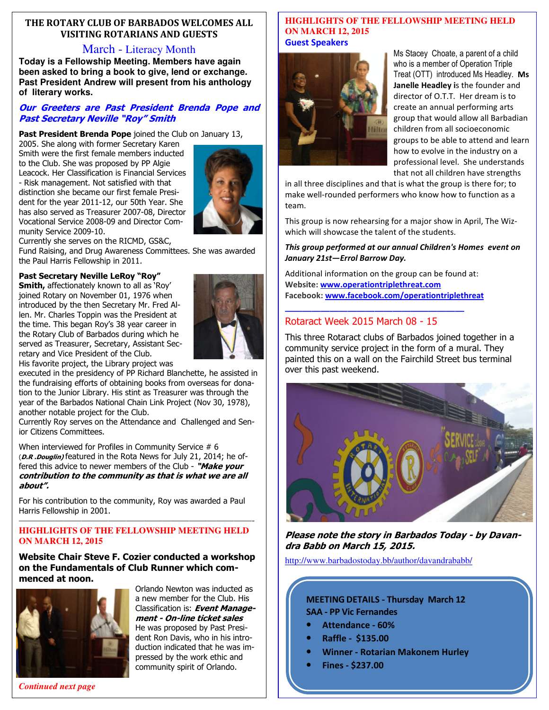# **THE ROTARY CLUB OF BARBADOS WELCOMES ALL VISITING ROTARIANS AND GUESTS**

# March - Literacy Month

**Today is a Fellowship Meeting. Members have again been asked to bring a book to give, lend or exchange. Past President Andrew will present from his anthology of literary works.** 

## **Our Greeters are Past President Brenda Pope and Past Secretary Neville "Roy" Smith**

**Past President Brenda Pope** joined the Club on January 13,

2005. She along with former Secretary Karen Smith were the first female members inducted to the Club. She was proposed by PP Algie Leacock. Her Classification is Financial Services - Risk management. Not satisfied with that distinction she became our first female President for the year 2011-12, our 50th Year. She has also served as Treasurer 2007-08, Director Vocational Service 2008-09 and Director Community Service 2009-10.



Currently she serves on the RICMD, GS&C,

Fund Raising, and Drug Awareness Committees. She was awarded the Paul Harris Fellowship in 2011.

### **Past Secretary Neville LeRoy "Roy"**

**Smith,** affectionately known to all as 'Roy' joined Rotary on November 01, 1976 when introduced by the then Secretary Mr. Fred Allen. Mr. Charles Toppin was the President at the time. This began Roy's 38 year career in the Rotary Club of Barbados during which he served as Treasurer, Secretary, Assistant Secretary and Vice President of the Club.



His favorite project, the Library project was executed in the presidency of PP Richard Blanchette, he assisted in the fundraising efforts of obtaining books from overseas for donation to the Junior Library. His stint as Treasurer was through the year of the Barbados National Chain Link Project (Nov 30, 1978),

another notable project for the Club.

Currently Roy serves on the Attendance and Challenged and Senior Citizens Committees.

When interviewed for Profiles in Community Service # 6 (**D.R .Douglin)** featured in the Rota News for July 21, 2014; he offered this advice to newer members of the Club - **"Make your contribution to the community as that is what we are all about".** 

For his contribution to the community, Roy was awarded a Paul Harris Fellowship in 2001.

### ——————————————————————————- **HIGHLIGHTS OF THE FELLOWSHIP MEETING HELD ON MARCH 12, 2015**

### **Website Chair Steve F. Cozier conducted a workshop on the Fundamentals of Club Runner which commenced at noon.**



Orlando Newton was inducted as a new member for the Club. His Classification is: **Event Management - On-line ticket sales**  He was proposed by Past President Ron Davis, who in his introduction indicated that he was impressed by the work ethic and community spirit of Orlando.

### **HIGHLIGHTS OF THE FELLOWSHIP MEETING HELD ON MARCH 12, 2015 Guest Speakers**



Ms Stacey Choate, a parent of a child who is a member of Operation Triple Treat (OTT) introduced Ms Headley. **Ms Janelle Headley i**s the founder and director of O.T.T. Her dream is to create an annual performing arts group that would allow all Barbadian children from all socioeconomic groups to be able to attend and learn how to evolve in the industry on a professional level. She understands that not all children have strengths

in all three disciplines and that is what the group is there for; to make well-rounded performers who know how to function as a team.

This group is now rehearsing for a major show in April, The Wizwhich will showcase the talent of the students.

### *This group performed at our annual Children's Homes event on January 21st—Errol Barrow Day.*

Additional information on the group can be found at: **Website: www.operationtriplethreat.com Facebook: www.facebook.com/operationtriplethreat**

**————————————————————** 

# Rotaract Week 2015 March 08 - 15

This three Rotaract clubs of Barbados joined together in a community service project in the form of a mural. They painted this on a wall on the Fairchild Street bus terminal over this past weekend.



**Please note the story in Barbados Today - by Davandra Babb on March 15, 2015.** 

http://www.barbadostoday.bb/author/davandrababb/

# **MEETING DETAILS - Thursday March 12 SAA - PP Vic Fernandes**

- **Attendance 60%**
- **Raffle \$135.00**
- **Winner Rotarian Makonem Hurley**
- **Fines \$237.00**

*Continued next page*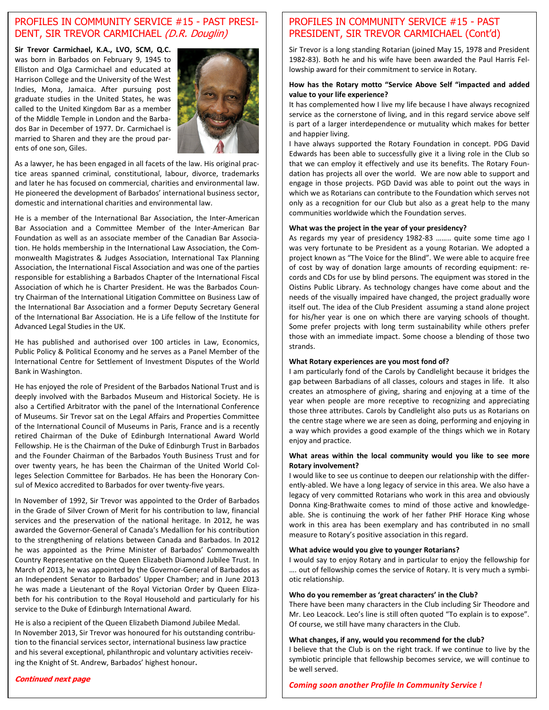# PROFILES IN COMMUNITY SERVICE #15 - PAST PRESI-DENT, SIR TREVOR CARMICHAEL (D.R. Douglin)

**Sir Trevor Carmichael, K.A., LVO, SCM, Q.C.**  was born in Barbados on February 9, 1945 to Elliston and Olga Carmichael and educated at Harrison College and the University of the West Indies, Mona, Jamaica. After pursuing post graduate studies in the United States, he was called to the United Kingdom Bar as a member of the Middle Temple in London and the Barbados Bar in December of 1977. Dr. Carmichael is married to Sharen and they are the proud parents of one son, Giles.



As a lawyer, he has been engaged in all facets of the law. His original practice areas spanned criminal, constitutional, labour, divorce, trademarks and later he has focused on commercial, charities and environmental law. He pioneered the development of Barbados' international business sector, domestic and international charities and environmental law.

He is a member of the International Bar Association, the Inter-American Bar Association and a Committee Member of the Inter-American Bar Foundation as well as an associate member of the Canadian Bar Association. He holds membership in the International Law Association, the Commonwealth Magistrates & Judges Association, International Tax Planning Association, the International Fiscal Association and was one of the parties responsible for establishing a Barbados Chapter of the International Fiscal Association of which he is Charter President. He was the Barbados Country Chairman of the International Litigation Committee on Business Law of the International Bar Association and a former Deputy Secretary General of the International Bar Association. He is a Life fellow of the Institute for Advanced Legal Studies in the UK.

He has published and authorised over 100 articles in Law, Economics, Public Policy & Political Economy and he serves as a Panel Member of the International Centre for Settlement of Investment Disputes of the World Bank in Washington.

He has enjoyed the role of President of the Barbados National Trust and is deeply involved with the Barbados Museum and Historical Society. He is also a Certified Arbitrator with the panel of the International Conference of Museums. Sir Trevor sat on the Legal Affairs and Properties Committee of the International Council of Museums in Paris, France and is a recently retired Chairman of the Duke of Edinburgh International Award World Fellowship. He is the Chairman of the Duke of Edinburgh Trust in Barbados and the Founder Chairman of the Barbados Youth Business Trust and for over twenty years, he has been the Chairman of the United World Colleges Selection Committee for Barbados. He has been the Honorary Consul of Mexico accredited to Barbados for over twenty-five years.

In November of 1992, Sir Trevor was appointed to the Order of Barbados in the Grade of Silver Crown of Merit for his contribution to law, financial services and the preservation of the national heritage. In 2012, he was awarded the Governor-General of Canada's Medallion for his contribution to the strengthening of relations between Canada and Barbados. In 2012 he was appointed as the Prime Minister of Barbados' Commonwealth Country Representative on the Queen Elizabeth Diamond Jubilee Trust. In March of 2013, he was appointed by the Governor-General of Barbados as an Independent Senator to Barbados' Upper Chamber; and in June 2013 he was made a Lieutenant of the Royal Victorian Order by Queen Elizabeth for his contribution to the Royal Household and particularly for his service to the Duke of Edinburgh International Award.

He is also a recipient of the Queen Elizabeth Diamond Jubilee Medal. In November 2013, Sir Trevor was honoured for his outstanding contribution to the financial services sector, international business law practice and his several exceptional, philanthropic and voluntary activities receiving the Knight of St. Andrew, Barbados' highest honour.

# **Continued next page**

# PROFILES IN COMMUNITY SERVICE #15 - PAST PRESIDENT, SIR TREVOR CARMICHAEL (Cont'd)

Sir Trevor is a long standing Rotarian (joined May 15, 1978 and President 1982-83). Both he and his wife have been awarded the Paul Harris Fellowship award for their commitment to service in Rotary.

### **How has the Rotary motto "Service Above Self "impacted and added value to your life experience?**

It has complemented how I live my life because I have always recognized service as the cornerstone of living, and in this regard service above self is part of a larger interdependence or mutuality which makes for better and happier living.

I have always supported the Rotary Foundation in concept. PDG David Edwards has been able to successfully give it a living role in the Club so that we can employ it effectively and use its benefits. The Rotary Foundation has projects all over the world. We are now able to support and engage in those projects. PGD David was able to point out the ways in which we as Rotarians can contribute to the Foundation which serves not only as a recognition for our Club but also as a great help to the many communities worldwide which the Foundation serves.

### **What was the project in the year of your presidency?**

As regards my year of presidency 1982-83 …….. quite some time ago I was very fortunate to be President as a young Rotarian. We adopted a project known as "The Voice for the Blind". We were able to acquire free of cost by way of donation large amounts of recording equipment: records and CDs for use by blind persons. The equipment was stored in the Oistins Public Library. As technology changes have come about and the needs of the visually impaired have changed, the project gradually wore itself out. The idea of the Club President assuming a stand alone project for his/her year is one on which there are varying schools of thought. Some prefer projects with long term sustainability while others prefer those with an immediate impact. Some choose a blending of those two strands.

### **What Rotary experiences are you most fond of?**

I am particularly fond of the Carols by Candlelight because it bridges the gap between Barbadians of all classes, colours and stages in life. It also creates an atmosphere of giving, sharing and enjoying at a time of the year when people are more receptive to recognizing and appreciating those three attributes. Carols by Candlelight also puts us as Rotarians on the centre stage where we are seen as doing, performing and enjoying in a way which provides a good example of the things which we in Rotary enjoy and practice.

### **What areas within the local community would you like to see more Rotary involvement?**

I would like to see us continue to deepen our relationship with the differently-abled. We have a long legacy of service in this area. We also have a legacy of very committed Rotarians who work in this area and obviously Donna King-Brathwaite comes to mind of those active and knowledgeable. She is continuing the work of her father PHF Horace King whose work in this area has been exemplary and has contributed in no small measure to Rotary's positive association in this regard.

### **What advice would you give to younger Rotarians?**

I would say to enjoy Rotary and in particular to enjoy the fellowship for …. out of fellowship comes the service of Rotary. It is very much a symbiotic relationship.

### **Who do you remember as 'great characters' in the Club?**

There have been many characters in the Club including Sir Theodore and Mr. Leo Leacock. Leo's line is still often quoted "To explain is to expose". Of course, we still have many characters in the Club.

### **What changes, if any, would you recommend for the club?**

I believe that the Club is on the right track. If we continue to live by the symbiotic principle that fellowship becomes service, we will continue to be well served.

*Coming soon another Profile In Community Service !*